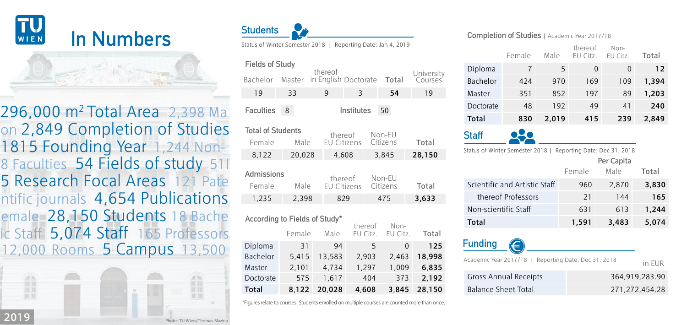

1815 Founding Year 1,244 Non-296,000 m2 Total Area 2,398 Ma 5 Research Focal Areas 121 Pate Female 28,150 Students 18 Bache 8 Faculties 54 Fields of study 511 ic Staff 5,074 Staff 165 Professors 12,000 Rooms 5 Campus 13,500 ntific journals 4,654 Publications on 2,849 Completion of Studies





| Fields of Study                    |        |                                 |                               |  |                    |                       |
|------------------------------------|--------|---------------------------------|-------------------------------|--|--------------------|-----------------------|
| Bachelor                           | Master | thereof<br>in English Doctorate |                               |  | Total              | University<br>Courses |
| 19                                 | 33     | 9                               | 3                             |  | 54                 | 19                    |
| <b>Faculties</b>                   | 8      |                                 | Institutes                    |  | 50                 |                       |
| <b>Total of Students</b><br>Female | Male   |                                 | thereof<br><b>FU</b> Citizens |  | Non-EU<br>Citizens | Total                 |
| 8.122                              | 20.028 |                                 | 4.608                         |  | 3.845              | 28,150                |
| Admissions<br>Female               | Male   |                                 | thereof<br>EU Citizens        |  | Non-EU<br>Citizens | Total                 |
| 1,235                              | 2.398  |                                 | 829                           |  | 475                | 3,633                 |
|                                    |        |                                 |                               |  |                    |                       |

| According to Fields of Study* |        |        |                     |                  |        |
|-------------------------------|--------|--------|---------------------|------------------|--------|
|                               | Female | Male   | thereof<br>EU Citz. | Non-<br>EU Citz. | Total  |
| Diploma                       | 31     | 94     | 5                   | $\Omega$         | 125    |
| Bachelor                      | 5.415  | 13.583 | 2,903               | 2.463            | 18.998 |
| Master                        | 2.101  | 4.734  | 1.297               | 1.009            | 6.835  |
| Doctorate                     | 575    | 1.617  | 404                 | 373              | 2.192  |
| <b>Total</b>                  | 8.122  | 20.028 | 4.608               | 3.845            | 28.150 |

\*Figures relate to courses. Students enrolled on multiple courses are counted more than once.

## Completion of Studies | Academic Year 2017/18

|                                                                  | Female | Male  | thereof<br>EU Citz. | $Non-$<br>FU Citz. | Total |
|------------------------------------------------------------------|--------|-------|---------------------|--------------------|-------|
| Diploma                                                          | 7      | 5     | $\overline{0}$      | $\Omega$           | 12    |
| Bachelor                                                         | 424    | 970   | 169                 | 109                | 1,394 |
| Master                                                           | 351    | 852   | 197                 | 89                 | 1,203 |
| Doctorate                                                        | 48     | 192   | 49                  | 41                 | 240   |
| Total                                                            | 830    | 2,019 | 415                 | 239                | 2,849 |
| <b>Staff</b>                                                     |        |       |                     |                    |       |
| Status of Winter Semester 2018  <br>Reporting Date: Dec 31, 2018 |        |       |                     |                    |       |
| Per Capita                                                       |        |       |                     |                    |       |

|                               |        | <u>. Li cupitu</u> |       |
|-------------------------------|--------|--------------------|-------|
|                               | Female | Male               | Total |
| Scientific and Artistic Staff | 960    | 2.870              | 3.830 |
| thereof Professors            | 21     | 144                | 165   |
| Non-scientific Staff          | 631    | 613                | 1.244 |
| Total                         | 1,591  | 3,483              | 5.074 |

| <b>Funding</b>               | $\left( \right)$                                     |                |
|------------------------------|------------------------------------------------------|----------------|
|                              | Academic Year 2017/18   Reporting Date: Dec 31, 2018 | in FUR         |
| <b>Gross Annual Receipts</b> |                                                      | 364.919.283.90 |
|                              | <b>Balance Sheet Total</b>                           | 271.272.454.28 |